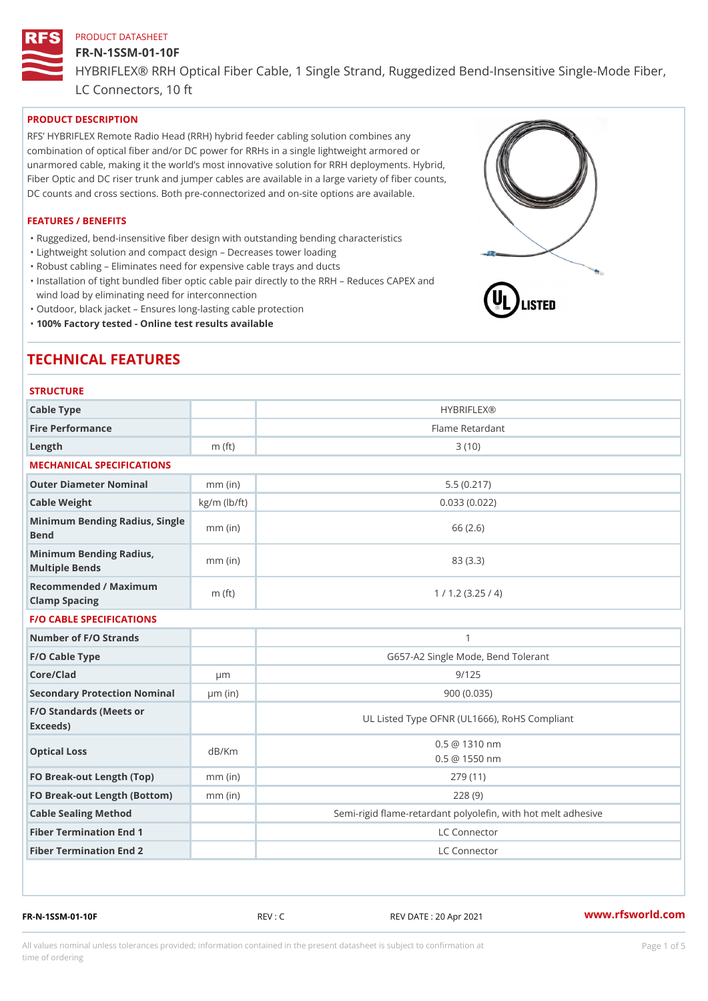#### FR-N-1SSM-01-10F

HYBRIFLEX® RRH Optical Fiber Cable, 1 Single Strand, Ruggedized Be

LC Connectors, 10 ft

## PRODUCT DESCRIPTION

RFS HYBRIFLEX Remote Radio Head (RRH) hybrid feeder cabling solution combines any combination of optical fiber and/or DC power for RRHs in a single lightweight armored or unarmored cable, making it the world s most innovative solution for RRH deployments. Hybrid, Fiber Optic and DC riser trunk and jumper cables are available in a large variety of fiber counts, DC counts and cross sections. Both pre-connectorized and on-site options are available.

#### FEATURES / BENEFITS

"Ruggedized, bend-insensitive fiber design with outstanding bending characteristics

- "Lightweight solution and compact design Decreases tower loading
- "Robust cabling Eliminates need for expensive cable trays and ducts
- "Installation of tight bundled fiber optic cable pair directly to the RRH Aeduces CAPEX and wind load by eliminating need for interconnection
- "Outdoor, black jacket Ensures long-lasting cable protection
- "100% Factory tested Online test results available

# TECHNICAL FEATURES

### **STRUCTURE**

| Cable Type                                        |                    | <b>HYBRIFLEX®</b>                                        |
|---------------------------------------------------|--------------------|----------------------------------------------------------|
| Fire Performance                                  |                    | Flame Retardant                                          |
| $L$ ength                                         | $m$ (ft)           | 3(10)                                                    |
| MECHANICAL SPECIFICATIONS                         |                    |                                                          |
| Outer Diameter Nominal                            | $mm$ (in)          | 5.5(0.217)                                               |
| Cable Weight                                      | $kg/m$ ( $lb/ft$ ) | 0.033(0.022)                                             |
| Minimum Bending Radius, Single<br>Bend            |                    | 66 (2.6)                                                 |
| Minimum Bending Radius, mm (in)<br>Multiple Bends |                    | 83 (3.3)                                                 |
| Recommended / Maximum<br>Clamp Spacing            | $m$ (ft)           | 1 / 1.2 (3.25 / 4)                                       |
| <b>F/O CABLE SPECIFICATIONS</b>                   |                    |                                                          |
| Number of F/O Strands                             |                    | $\mathbf{1}$                                             |
| F/O Cable Type                                    |                    | G657-A2 Single Mode, Bend Tolerant                       |
| Core/Clad                                         | $\mu$ m            | 9/125                                                    |
| Secondary Protection Nomimal(in)                  |                    | 900 (0.035)                                              |
| F/O Standards (Meets or<br>Exceeds)               |                    | UL Listed Type OFNR (UL1666), RoHS Compliant             |
| Optical Loss                                      | dB/Km              | $0.5 \ @ \ 1310 \ nm$<br>$0.5 \t@ 1550 nm$               |
| FO Break-out Length (Top)mm (in)                  |                    | 279 (11)                                                 |
| FO Break-out Length (Bottomm) (in)                |                    | 228(9)                                                   |
| Cable Sealing Method                              |                    | Semi-rigid flame-retardant polyolefin, with hot melt adl |
| Fiber Termination End                             |                    | LC Connector                                             |
| Fiber Termination End 2                           |                    | LC Connector                                             |

FR-N-1SSM-01-10F REV : C REV DATE : 20 Apr 2021 [www.](https://www.rfsworld.com)rfsworld.com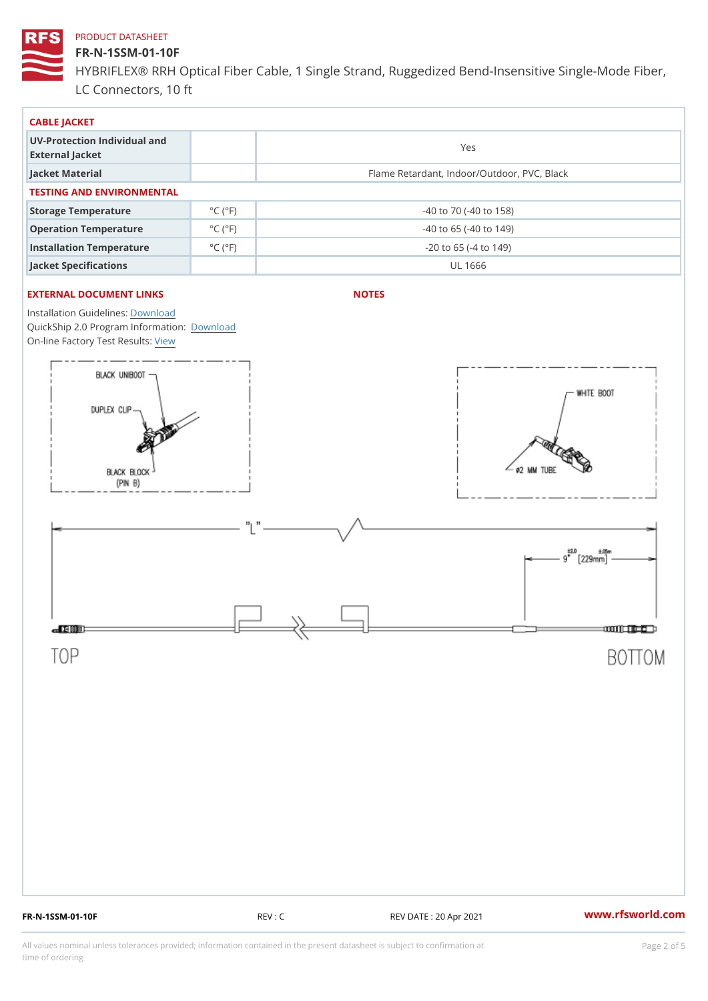### FR-N-1SSM-01-10F

HYBRIFLEX® RRH Optical Fiber Cable, 1 Single Strand, Ruggedized Be LC Connectors, 10 ft

| CABLE JACKET                                    |                             |                                             |  |  |  |
|-------------------------------------------------|-----------------------------|---------------------------------------------|--|--|--|
| UV-Protection Individual and<br>External Jacket |                             | Yes                                         |  |  |  |
| Jacket Material                                 |                             | Flame Retardant, Indoor/Outdoor, PVC, Black |  |  |  |
| TESTING AND ENVIRONMENTAL                       |                             |                                             |  |  |  |
| Storage Temperature                             | $^{\circ}$ C ( $^{\circ}$ F | $-40$ to $70$ ( $-40$ to $158$ )            |  |  |  |
| Operation Temperature                           | $^{\circ}$ C ( $^{\circ}$ F | $-40$ to 65 ( $-40$ to 149)                 |  |  |  |
| Installation Temperature                        | $^{\circ}$ C ( $^{\circ}$ F | $-20$ to 65 ( $-4$ to 149)                  |  |  |  |
| Jacket Specifications                           |                             | UL 1666                                     |  |  |  |

### EXTERNAL DOCUMENT LINKS

NOTES

Installation Guidelwinessad QuickShip 2.0 Program [Informa](http://www.rfsworld.com/images/hybriflex/quickship_program_2.pdf)tion: On-line Factory Te[s](https://www.rfsworld.com/pictures/userfiles/programs/AAST Latest Version.zip)teResults:

FR-N-1SSM-01-10F REV : C REV DATE : 20 Apr 2021 [www.](https://www.rfsworld.com)rfsworld.com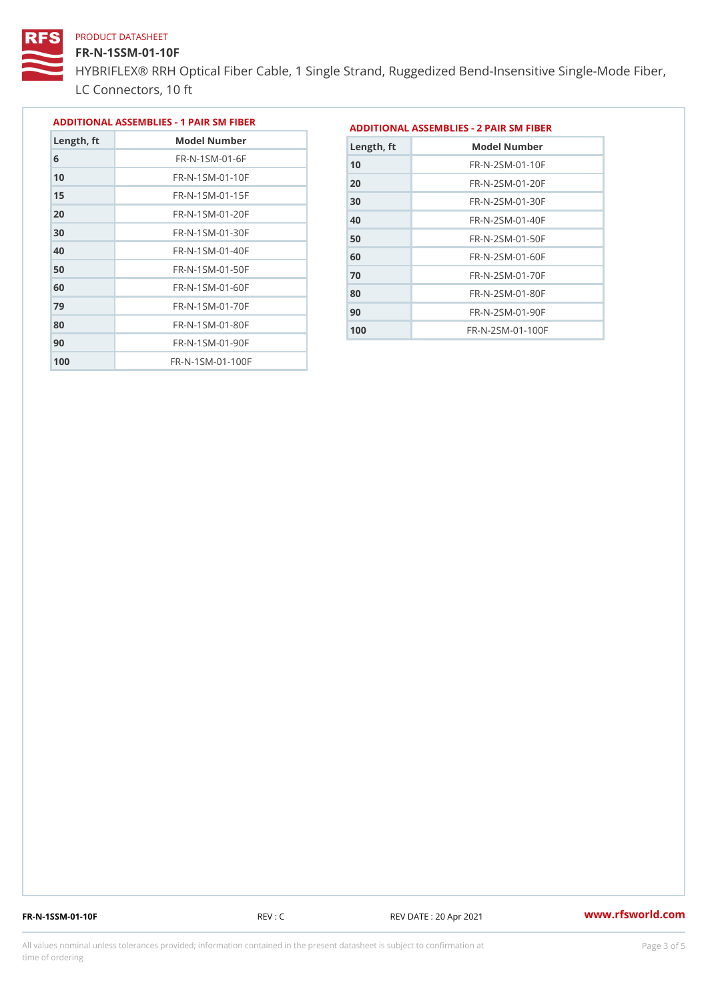### FR-N-1SSM-01-10F

HYBRIFLEX® RRH Optical Fiber Cable, 1 Single Strand, Ruggedized Be LC Connectors, 10 ft

|            |                              |                |               | ADDITIONAL ASSEMBLIES - 1 PAIR SM FIBE ADDITIONAL ASSEMBLIES - 2 PAIR SM FIBER |
|------------|------------------------------|----------------|---------------|--------------------------------------------------------------------------------|
| Length, ft | Model Number                 |                | $L$ ength, ft | Model Number                                                                   |
|            | $FR - N - 1$ S M - 01 - 6 F  | 1 <sub>0</sub> |               | $FR - N - 2 SM - 01 - 10 F$                                                    |
|            | $FR - N - 1$ S M - 01 - 10 F |                |               |                                                                                |

| 10  | $FR - N - 1 S M - 0 1 - 1 0 F$ |
|-----|--------------------------------|
| 15  | FR-N-1SM-01-15F                |
| 20  | $FR - N - 1$ S M - 01 - 20 F   |
| 30  | $FR - N - 1$ S M - 01 - 30 F   |
| 40  | $FR - N - 1$ S M - 01 - 40 F   |
| 50  | FR-N-1SM-01-50F                |
| 60  | $FR - N - 1$ S M - 01 - 60 F   |
| 79  | $FR - N - 1$ S M - 01 - 70 F   |
| 80  | $FR - N - 1$ S M - 01 - 80 F   |
| 90  | $FR - N - 1$ S M - 01 - 90 F   |
| 100 | $FR - N - 1$ S M - 01 - 100 F  |

| Length, ft | Model Number                 |
|------------|------------------------------|
| 10         | $FR - N - 2 SM - 01 - 10 F$  |
| 20         | FR-N-2 SM-01-20 F            |
| 30         | $FR - N - 2 SM - 01 - 30 F$  |
| 40         | FR-N-2SM-01-40F              |
| 50         | $FR - N - 2 SM - 01 - 50 F$  |
| 60         | $FR - N - 2 S M - 01 - 60 F$ |
| 70         | $FR - N - 2 SM - 01 - 70 F$  |
| 80         | $FR - N - 2 SM - 01 - 80 F$  |
| 90         | FR-N-2SM-01-90F              |
| 100        | $FR - N - 2 SM - 01 - 100 F$ |

FR-N-1SSM-01-10F REV : C REV DATE : 20 Apr 2021 [www.](https://www.rfsworld.com)rfsworld.com

All values nominal unless tolerances provided; information contained in the present datasheet is subject to Pcapgeling that i time of ordering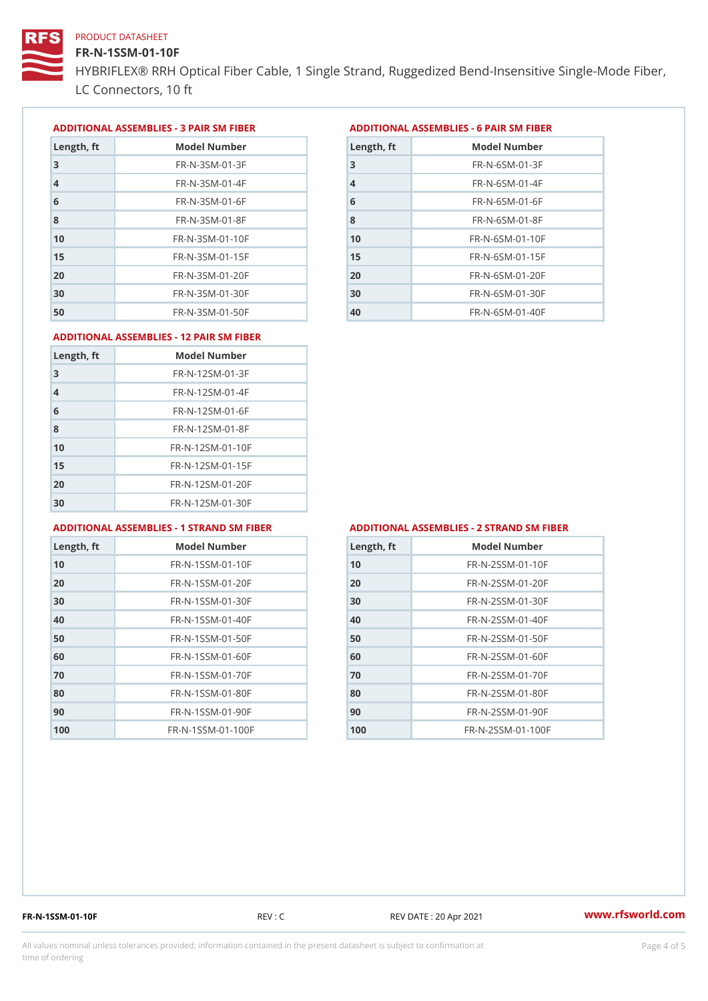### FR-N-1SSM-01-10F

HYBRIFLEX® RRH Optical Fiber Cable, 1 Single Strand, Ruggedized Be LC Connectors, 10 ft

ADDITIONAL ASSEMBLIES - 3 PAIR SM FIBERED DITIONAL ASSEMBLIES - 6 PAIR SM FIBER

| Length, ft     | Model Number                 |
|----------------|------------------------------|
| 3              | $FR - N - 3 S M - 01 - 3 F$  |
| $\overline{4}$ | $FR - N - 3 S M - 01 - 4 F$  |
| 6              | $FR - N - 3 S M - 01 - 6 F$  |
| 8              | $FR - N - 3 S M - 01 - 8 F$  |
| 10             | $FR - N - 3 S M - 01 - 10 F$ |
| 15             | $FR - N - 3 S M - 01 - 15 F$ |
| 20             | $FR - N - 3 S M - 01 - 20 F$ |
| 30             | $FR - N - 3 S M - 01 - 30 F$ |
| 50             | $FR - N - 3 S M - 01 - 50 F$ |

| Length, ft     | Model Number                 |
|----------------|------------------------------|
| 3              | $FR - N - 6 S M - 01 - 3 F$  |
| $\overline{4}$ | FR-N-6SM-01-4F               |
| 6              | $FR - N - 6.5 M - 0.1 - 6 F$ |
| 8              | $FR - N - 6$ S M - 01 - 8 F  |
| 1 <sub>0</sub> | $FR - N - 6 SM - 01 - 10 F$  |
| 15             | FR-N-6SM-01-15F              |
| 20             | FR-N-6SM-01-20F              |
| 30             | $FR - N - 6$ S M - 01 - 30 F |
| 40             | FR-N-6SM-01-40F              |

#### ADDITIONAL ASSEMBLIES - 12 PAIR SM FIBER

| Length, ft     | Model Number                 |
|----------------|------------------------------|
| 3              | $FR - N - 12SM - 01 - 3F$    |
| $\overline{4}$ | $FR - N - 12SM - 01 - 4F$    |
| 6              | $FR - N - 12$ S M - 01 - 6 F |
| 8              | $FR - N - 12$ S M - 01 - 8 F |
| 10             | FR-N-12SM-01-10F             |
| 15             | FR-N-12SM-01-15F             |
| 20             | FR-N-12SM-01-20F             |
| 30             | FR-N-12SM-01-30F             |

#### ADDITIONAL ASSEMBLIES - 1 STRAND SM FABSDRTIONAL ASSEMBLIES - 2 STRAND SM FIBER

| Length, ft     | Model Number                   |
|----------------|--------------------------------|
| 1 <sub>0</sub> | $FR - N - 1$ S S M - 01 - 10 F |
| 20             | $FR - N - 1$ S S M - 01 - 20 F |
| 30             | $FR - N - 1$ S S M - 01 - 30 F |
| 40             | $FR - N - 1$ S S M - 01 - 40 F |
| 50             | $FR - N - 1$ S S M - 01 - 50 F |
| 60             | $FR - N - 1$ S S M - 01 - 60 F |
| 70             | FR-N-1SSM-01-70F               |
| 80             | FR-N-1SSM-01-80F               |
| 90             | FR-N-1SSM-01-90F               |
| 100            | FR-N-1SSM-01-100F              |

| Length, ft | Model Number                   |
|------------|--------------------------------|
| 10         | $FR - N - 2 S S M - 01 - 10 F$ |
| 20         | $FR - N - 2 S S M - 01 - 20 F$ |
| 30         | FR-N-2SSM-01-30F               |
| 40         | FR-N-2SSM-01-40F               |
| 50         | FR-N-2SSM-01-50F               |
| 60         | $FR - N - 2 S S M - 01 - 60 F$ |
| 70         | FR-N-2SSM-01-70F               |
| 80         | FR-N-2SSM-01-80F               |
| 90         | $FR - N - 2 S S M - 01 - 90 F$ |
| 100        | FR-N-2SSM-01-100F              |

FR-N-1SSM-01-10F REV : C REV DATE : 20 Apr 2021 [www.](https://www.rfsworld.com)rfsworld.com

All values nominal unless tolerances provided; information contained in the present datasheet is subject to Pcapgnéig4m ssti time of ordering